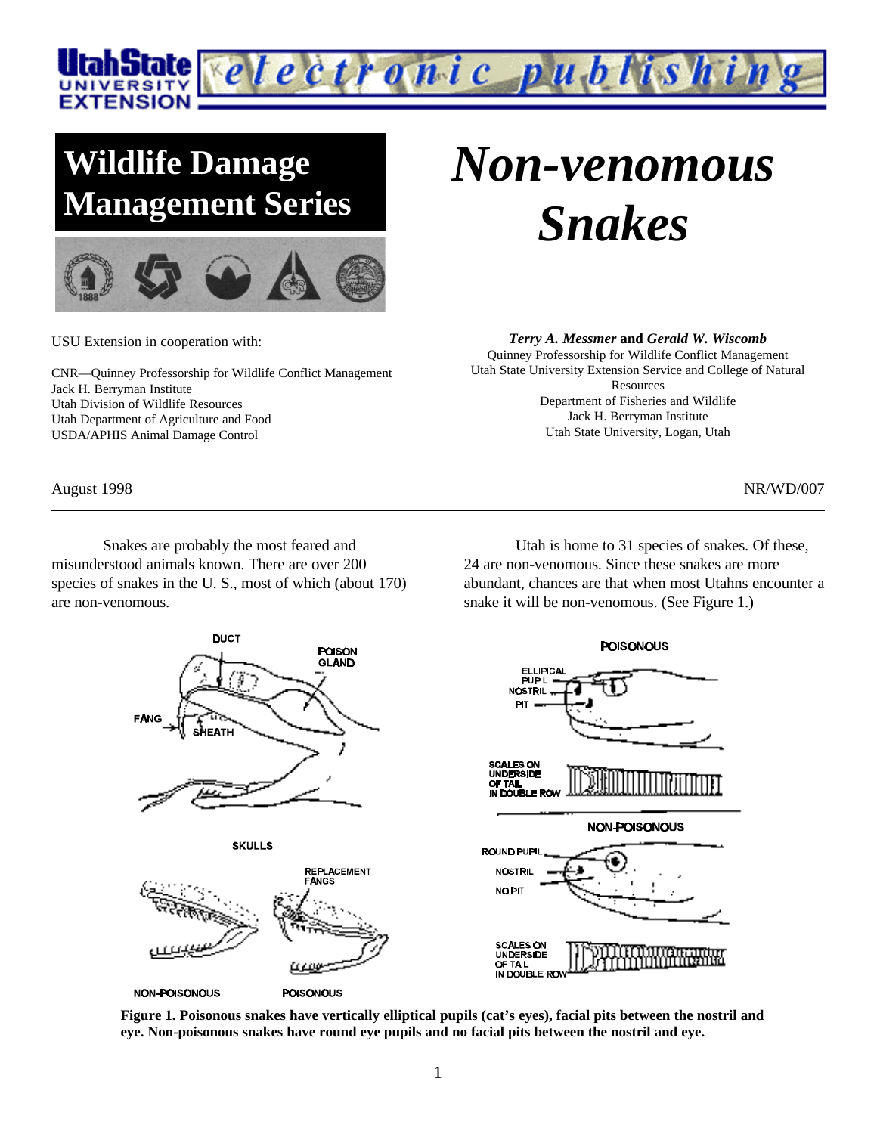

# **Wildlife Damage Management Series**



USU Extension in cooperation with:

CNR—Quinney Professorship for Wildlife Conflict Management Jack H. Berryman Institute Utah Division of Wildlife Resources Utah Department of Agriculture and Food USDA/APHIS Animal Damage Control

Snakes are probably the most feared and misunderstood animals known. There are over 200 species of snakes in the U. S., most of which (about 170) are non-venomous.

*Non-venomous Snakes*

*Terry A. Messmer* **and** *Gerald W. Wiscomb*

Quinney Professorship for Wildlife Conflict Management Utah State University Extension Service and College of Natural Resources Department of Fisheries and Wildlife Jack H. Berryman Institute Utah State University, Logan, Utah

August 1998 NR/WD/007

Utah is home to 31 species of snakes. Of these, 24 are non-venomous. Since these snakes are more abundant, chances are that when most Utahns encounter a snake it will be non-venomous. (See Figure 1.)



**Figure 1. Poisonous snakes have vertically elliptical pupils (cat's eyes), facial pits between the nostril and eye. Non-poisonous snakes have round eye pupils and no facial pits between the nostril and eye.**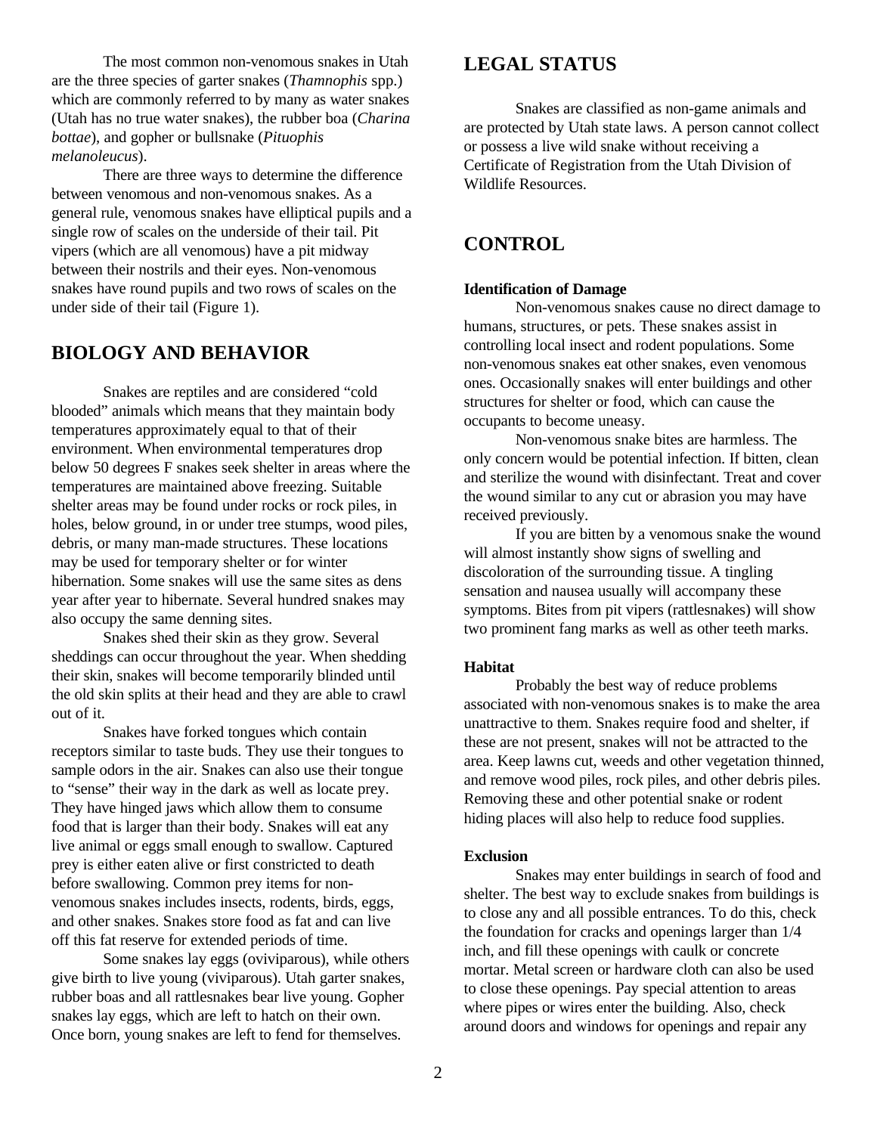The most common non-venomous snakes in Utah are the three species of garter snakes (*Thamnophis* spp.) which are commonly referred to by many as water snakes (Utah has no true water snakes), the rubber boa (*Charina bottae*), and gopher or bullsnake (*Pituophis melanoleucus*).

There are three ways to determine the difference between venomous and non-venomous snakes. As a general rule, venomous snakes have elliptical pupils and a single row of scales on the underside of their tail. Pit vipers (which are all venomous) have a pit midway between their nostrils and their eyes. Non-venomous snakes have round pupils and two rows of scales on the under side of their tail (Figure 1).

## **BIOLOGY AND BEHAVIOR**

Snakes are reptiles and are considered "cold blooded" animals which means that they maintain body temperatures approximately equal to that of their environment. When environmental temperatures drop below 50 degrees F snakes seek shelter in areas where the temperatures are maintained above freezing. Suitable shelter areas may be found under rocks or rock piles, in holes, below ground, in or under tree stumps, wood piles, debris, or many man-made structures. These locations may be used for temporary shelter or for winter hibernation. Some snakes will use the same sites as dens year after year to hibernate. Several hundred snakes may also occupy the same denning sites.

Snakes shed their skin as they grow. Several sheddings can occur throughout the year. When shedding their skin, snakes will become temporarily blinded until the old skin splits at their head and they are able to crawl out of it.

Snakes have forked tongues which contain receptors similar to taste buds. They use their tongues to sample odors in the air. Snakes can also use their tongue to "sense" their way in the dark as well as locate prey. They have hinged jaws which allow them to consume food that is larger than their body. Snakes will eat any live animal or eggs small enough to swallow. Captured prey is either eaten alive or first constricted to death before swallowing. Common prey items for nonvenomous snakes includes insects, rodents, birds, eggs, and other snakes. Snakes store food as fat and can live off this fat reserve for extended periods of time.

Some snakes lay eggs (oviviparous), while others give birth to live young (viviparous). Utah garter snakes, rubber boas and all rattlesnakes bear live young. Gopher snakes lay eggs, which are left to hatch on their own. Once born, young snakes are left to fend for themselves.

# **LEGAL STATUS**

Snakes are classified as non-game animals and are protected by Utah state laws. A person cannot collect or possess a live wild snake without receiving a Certificate of Registration from the Utah Division of Wildlife Resources.

## **CONTROL**

#### **Identification of Damage**

Non-venomous snakes cause no direct damage to humans, structures, or pets. These snakes assist in controlling local insect and rodent populations. Some non-venomous snakes eat other snakes, even venomous ones. Occasionally snakes will enter buildings and other structures for shelter or food, which can cause the occupants to become uneasy.

Non-venomous snake bites are harmless. The only concern would be potential infection. If bitten, clean and sterilize the wound with disinfectant. Treat and cover the wound similar to any cut or abrasion you may have received previously.

If you are bitten by a venomous snake the wound will almost instantly show signs of swelling and discoloration of the surrounding tissue. A tingling sensation and nausea usually will accompany these symptoms. Bites from pit vipers (rattlesnakes) will show two prominent fang marks as well as other teeth marks.

#### **Habitat**

Probably the best way of reduce problems associated with non-venomous snakes is to make the area unattractive to them. Snakes require food and shelter, if these are not present, snakes will not be attracted to the area. Keep lawns cut, weeds and other vegetation thinned, and remove wood piles, rock piles, and other debris piles. Removing these and other potential snake or rodent hiding places will also help to reduce food supplies.

#### **Exclusion**

Snakes may enter buildings in search of food and shelter. The best way to exclude snakes from buildings is to close any and all possible entrances. To do this, check the foundation for cracks and openings larger than 1/4 inch, and fill these openings with caulk or concrete mortar. Metal screen or hardware cloth can also be used to close these openings. Pay special attention to areas where pipes or wires enter the building. Also, check around doors and windows for openings and repair any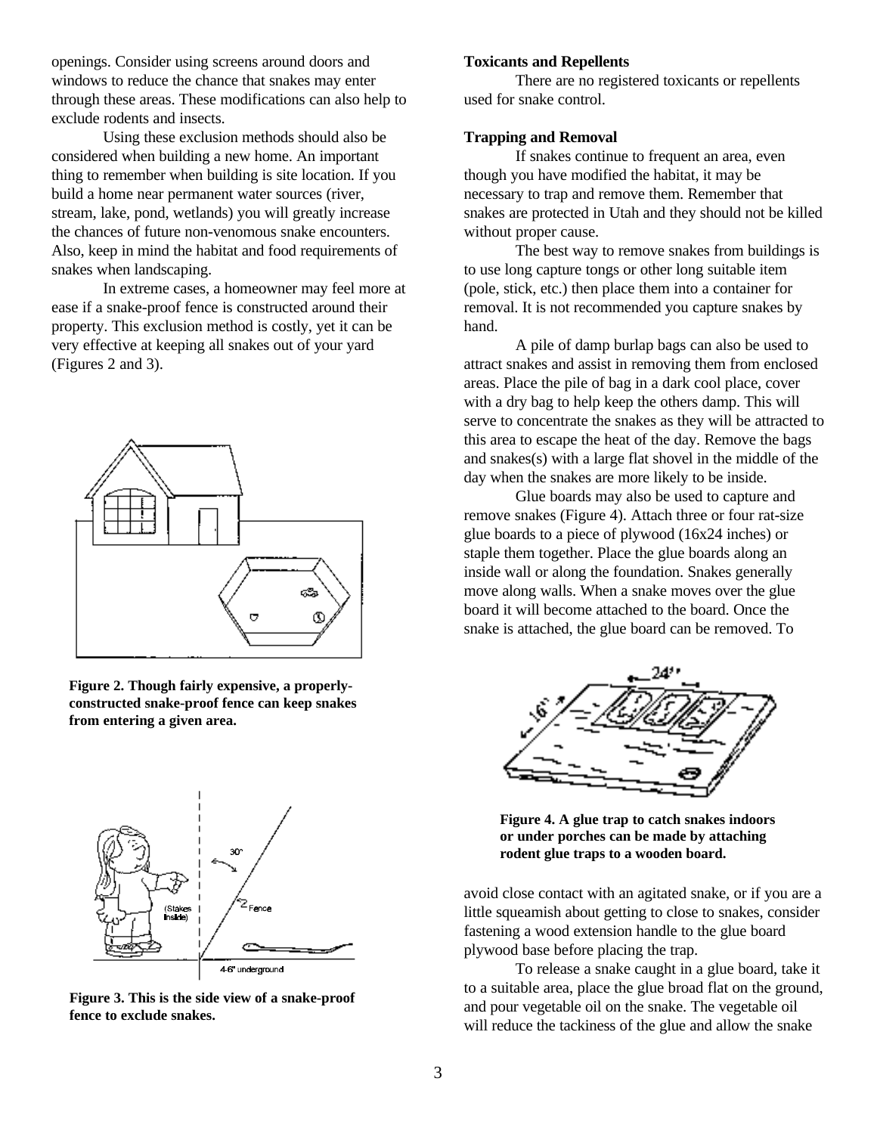openings. Consider using screens around doors and windows to reduce the chance that snakes may enter through these areas. These modifications can also help to exclude rodents and insects.

Using these exclusion methods should also be considered when building a new home. An important thing to remember when building is site location. If you build a home near permanent water sources (river, stream, lake, pond, wetlands) you will greatly increase the chances of future non-venomous snake encounters. Also, keep in mind the habitat and food requirements of snakes when landscaping.

In extreme cases, a homeowner may feel more at ease if a snake-proof fence is constructed around their property. This exclusion method is costly, yet it can be very effective at keeping all snakes out of your yard (Figures 2 and 3).



**Figure 2. Though fairly expensive, a properlyconstructed snake-proof fence can keep snakes from entering a given area.**



**Figure 3. This is the side view of a snake-proof fence to exclude snakes.**

#### **Toxicants and Repellents**

There are no registered toxicants or repellents used for snake control.

#### **Trapping and Removal**

If snakes continue to frequent an area, even though you have modified the habitat, it may be necessary to trap and remove them. Remember that snakes are protected in Utah and they should not be killed without proper cause.

The best way to remove snakes from buildings is to use long capture tongs or other long suitable item (pole, stick, etc.) then place them into a container for removal. It is not recommended you capture snakes by hand.

A pile of damp burlap bags can also be used to attract snakes and assist in removing them from enclosed areas. Place the pile of bag in a dark cool place, cover with a dry bag to help keep the others damp. This will serve to concentrate the snakes as they will be attracted to this area to escape the heat of the day. Remove the bags and snakes(s) with a large flat shovel in the middle of the day when the snakes are more likely to be inside.

Glue boards may also be used to capture and remove snakes (Figure 4). Attach three or four rat-size glue boards to a piece of plywood (16x24 inches) or staple them together. Place the glue boards along an inside wall or along the foundation. Snakes generally move along walls. When a snake moves over the glue board it will become attached to the board. Once the snake is attached, the glue board can be removed. To



**Figure 4. A glue trap to catch snakes indoors or under porches can be made by attaching rodent glue traps to a wooden board.**

avoid close contact with an agitated snake, or if you are a little squeamish about getting to close to snakes, consider fastening a wood extension handle to the glue board plywood base before placing the trap.

To release a snake caught in a glue board, take it to a suitable area, place the glue broad flat on the ground, and pour vegetable oil on the snake. The vegetable oil will reduce the tackiness of the glue and allow the snake